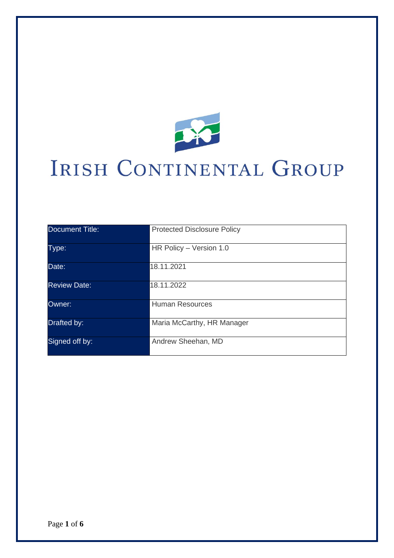

# IRISH CONTINENTAL GROUP

| <b>Document Title:</b> | <b>Protected Disclosure Policy</b> |
|------------------------|------------------------------------|
| Type:                  | HR Policy - Version 1.0            |
| Date:                  | 18.11.2021                         |
| <b>Review Date:</b>    | 18.11.2022                         |
| Owner:                 | <b>Human Resources</b>             |
| Drafted by:            | Maria McCarthy, HR Manager         |
| Signed off by:         | Andrew Sheehan, MD                 |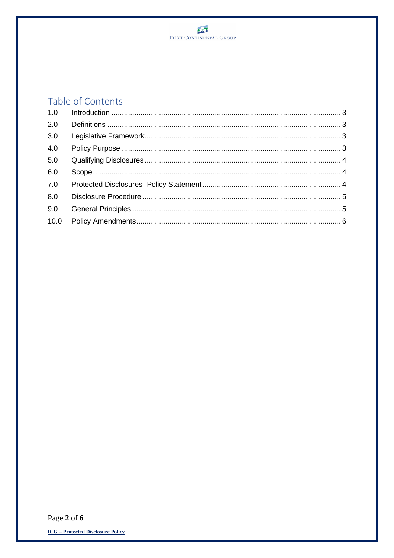

# Table of Contents

| 2.0  |  |
|------|--|
| 3.0  |  |
| 4.0  |  |
| 5.0  |  |
| 6.0  |  |
| 7.0  |  |
| 8.0  |  |
| 9.0  |  |
| 10.0 |  |
|      |  |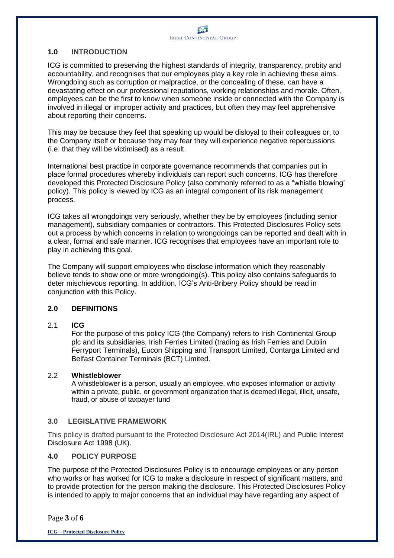### **1.0 INTRODUCTION**

ICG is committed to preserving the highest standards of integrity, transparency, probity and accountability, and recognises that our employees play a key role in achieving these aims. Wrongdoing such as corruption or malpractice, or the concealing of these, can have a devastating effect on our professional reputations, working relationships and morale. Often, employees can be the first to know when someone inside or connected with the Company is involved in illegal or improper activity and practices, but often they may feel apprehensive about reporting their concerns.

This may be because they feel that speaking up would be disloyal to their colleagues or, to the Company itself or because they may fear they will experience negative repercussions (i.e. that they will be victimised) as a result.

International best practice in corporate governance recommends that companies put in place formal procedures whereby individuals can report such concerns. ICG has therefore developed this Protected Disclosure Policy (also commonly referred to as a "whistle blowing' policy). This policy is viewed by ICG as an integral component of its risk management process.

ICG takes all wrongdoings very seriously, whether they be by employees (including senior management), subsidiary companies or contractors. This Protected Disclosures Policy sets out a process by which concerns in relation to wrongdoings can be reported and dealt with in a clear, formal and safe manner. ICG recognises that employees have an important role to play in achieving this goal.

The Company will support employees who disclose information which they reasonably believe tends to show one or more wrongdoing(s). This policy also contains safeguards to deter mischievous reporting. In addition, ICG's Anti-Bribery Policy should be read in conjunction with this Policy.

#### **2.0 DEFINITIONS**

#### 2.1 **ICG**

For the purpose of this policy ICG (the Company) refers to Irish Continental Group plc and its subsidiaries, Irish Ferries Limited (trading as Irish Ferries and Dublin Ferryport Terminals), Eucon Shipping and Transport Limited, Contarga Limited and Belfast Container Terminals (BCT) Limited.

#### 2.2 **Whistleblower**

A whistleblower is a person, usually an employee, who exposes information or activity within a private, public, or government organization that is deemed illegal, illicit, unsafe, fraud, or abuse of taxpayer fund

# **3.0 LEGISLATIVE FRAMEWORK**

This policy is drafted pursuant to the Protected Disclosure Act 2014(IRL) and Public Interest Disclosure Act 1998 (UK).

#### **4.0 POLICY PURPOSE**

The purpose of the Protected Disclosures Policy is to encourage employees or any person who works or has worked for ICG to make a disclosure in respect of significant matters, and to provide protection for the person making the disclosure. This Protected Disclosures Policy is intended to apply to major concerns that an individual may have regarding any aspect of

Page **3** of **6**

**ICG – Protected Disclosure Policy**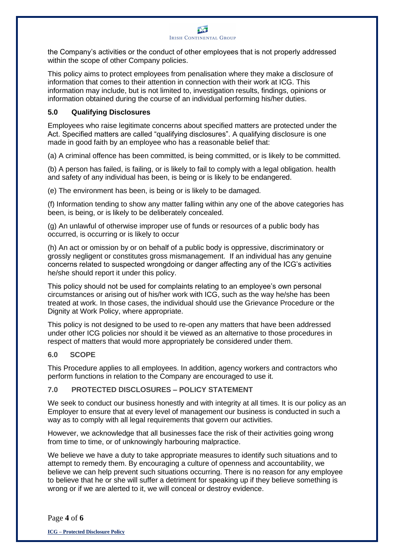

the Company's activities or the conduct of other employees that is not properly addressed within the scope of other Company policies.

This policy aims to protect employees from penalisation where they make a disclosure of information that comes to their attention in connection with their work at ICG. This information may include, but is not limited to, investigation results, findings, opinions or information obtained during the course of an individual performing his/her duties.

#### **5.0 Qualifying Disclosures**

Employees who raise legitimate concerns about specified matters are protected under the Act. Specified matters are called "qualifying disclosures". A qualifying disclosure is one made in good faith by an employee who has a reasonable belief that:

(a) A criminal offence has been committed, is being committed, or is likely to be committed.

(b) A person has failed, is failing, or is likely to fail to comply with a legal obligation. health and safety of any individual has been, is being or is likely to be endangered.

(e) The environment has been, is being or is likely to be damaged.

(f) Information tending to show any matter falling within any one of the above categories has been, is being, or is likely to be deliberately concealed.

(g) An unlawful of otherwise improper use of funds or resources of a public body has occurred, is occurring or is likely to occur

(h) An act or omission by or on behalf of a public body is oppressive, discriminatory or grossly negligent or constitutes gross mismanagement. If an individual has any genuine concerns related to suspected wrongdoing or danger affecting any of the ICG's activities he/she should report it under this policy.

This policy should not be used for complaints relating to an employee's own personal circumstances or arising out of his/her work with ICG, such as the way he/she has been treated at work. In those cases, the individual should use the Grievance Procedure or the Dignity at Work Policy, where appropriate.

This policy is not designed to be used to re-open any matters that have been addressed under other ICG policies nor should it be viewed as an alternative to those procedures in respect of matters that would more appropriately be considered under them.

#### **6.0 SCOPE**

This Procedure applies to all employees. In addition, agency workers and contractors who perform functions in relation to the Company are encouraged to use it.

#### **7.0 PROTECTED DISCLOSURES – POLICY STATEMENT**

We seek to conduct our business honestly and with integrity at all times. It is our policy as an Employer to ensure that at every level of management our business is conducted in such a way as to comply with all legal requirements that govern our activities.

However, we acknowledge that all businesses face the risk of their activities going wrong from time to time, or of unknowingly harbouring malpractice.

We believe we have a duty to take appropriate measures to identify such situations and to attempt to remedy them. By encouraging a culture of openness and accountability, we believe we can help prevent such situations occurring. There is no reason for any employee to believe that he or she will suffer a detriment for speaking up if they believe something is wrong or if we are alerted to it, we will conceal or destroy evidence.

Page **4** of **6**

**ICG – Protected Disclosure Policy**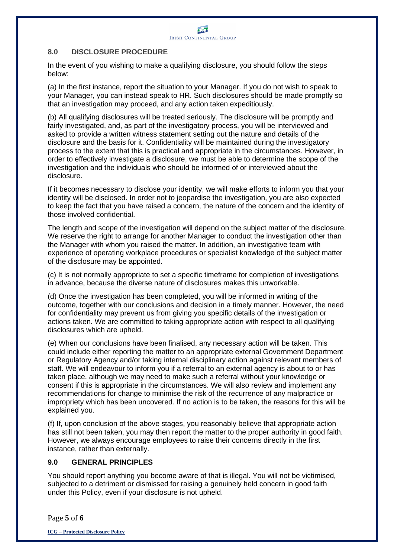#### **8.0 DISCLOSURE PROCEDURE**

In the event of you wishing to make a qualifying disclosure, you should follow the steps below:

(a) In the first instance, report the situation to your Manager. If you do not wish to speak to your Manager, you can instead speak to HR. Such disclosures should be made promptly so that an investigation may proceed, and any action taken expeditiously.

(b) All qualifying disclosures will be treated seriously. The disclosure will be promptly and fairly investigated, and, as part of the investigatory process, you will be interviewed and asked to provide a written witness statement setting out the nature and details of the disclosure and the basis for it. Confidentiality will be maintained during the investigatory process to the extent that this is practical and appropriate in the circumstances. However, in order to effectively investigate a disclosure, we must be able to determine the scope of the investigation and the individuals who should be informed of or interviewed about the disclosure.

If it becomes necessary to disclose your identity, we will make efforts to inform you that your identity will be disclosed. In order not to jeopardise the investigation, you are also expected to keep the fact that you have raised a concern, the nature of the concern and the identity of those involved confidential.

The length and scope of the investigation will depend on the subject matter of the disclosure. We reserve the right to arrange for another Manager to conduct the investigation other than the Manager with whom you raised the matter. In addition, an investigative team with experience of operating workplace procedures or specialist knowledge of the subject matter of the disclosure may be appointed.

(c) It is not normally appropriate to set a specific timeframe for completion of investigations in advance, because the diverse nature of disclosures makes this unworkable.

(d) Once the investigation has been completed, you will be informed in writing of the outcome, together with our conclusions and decision in a timely manner. However, the need for confidentiality may prevent us from giving you specific details of the investigation or actions taken. We are committed to taking appropriate action with respect to all qualifying disclosures which are upheld.

(e) When our conclusions have been finalised, any necessary action will be taken. This could include either reporting the matter to an appropriate external Government Department or Regulatory Agency and/or taking internal disciplinary action against relevant members of staff. We will endeavour to inform you if a referral to an external agency is about to or has taken place, although we may need to make such a referral without your knowledge or consent if this is appropriate in the circumstances. We will also review and implement any recommendations for change to minimise the risk of the recurrence of any malpractice or impropriety which has been uncovered. If no action is to be taken, the reasons for this will be explained you.

(f) If, upon conclusion of the above stages, you reasonably believe that appropriate action has still not been taken, you may then report the matter to the proper authority in good faith. However, we always encourage employees to raise their concerns directly in the first instance, rather than externally.

# **9.0 GENERAL PRINCIPLES**

You should report anything you become aware of that is illegal. You will not be victimised, subjected to a detriment or dismissed for raising a genuinely held concern in good faith under this Policy, even if your disclosure is not upheld.

Page **5** of **6**